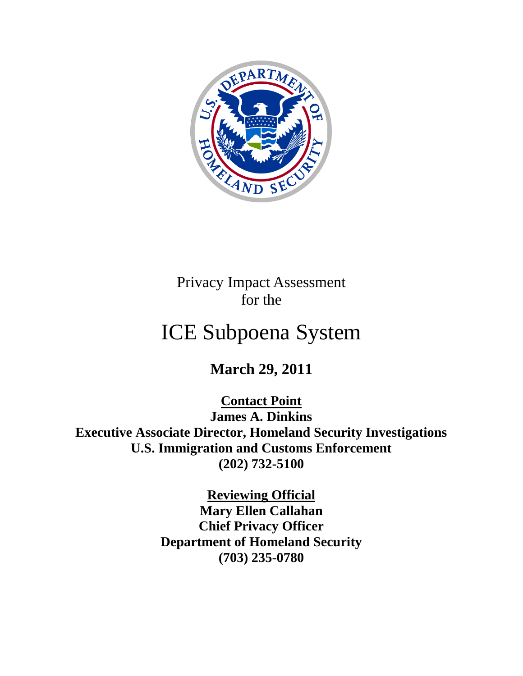

Privacy Impact Assessment for the

# ICE Subpoena System

**March 29, 2011**

**Contact Point James A. Dinkins Executive Associate Director, Homeland Security Investigations U.S. Immigration and Customs Enforcement (202) 732-5100**

> **Reviewing Official Mary Ellen Callahan Chief Privacy Officer Department of Homeland Security (703) 235-0780**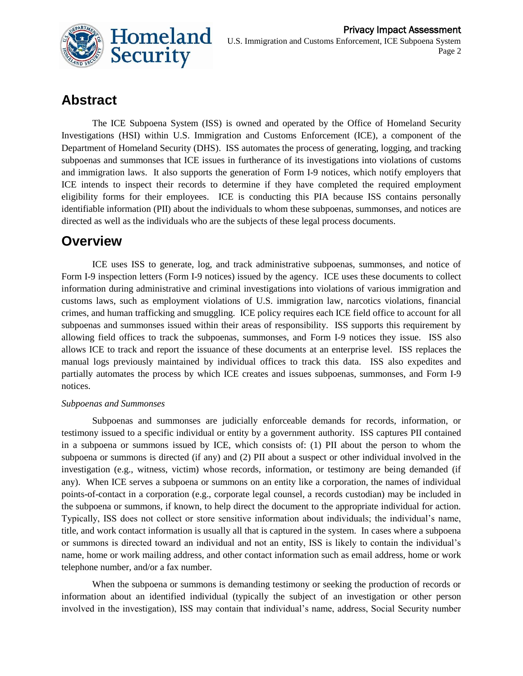

# **Abstract**

The ICE Subpoena System (ISS) is owned and operated by the Office of Homeland Security Investigations (HSI) within U.S. Immigration and Customs Enforcement (ICE), a component of the Department of Homeland Security (DHS). ISS automates the process of generating, logging, and tracking subpoenas and summonses that ICE issues in furtherance of its investigations into violations of customs and immigration laws. It also supports the generation of Form I-9 notices, which notify employers that ICE intends to inspect their records to determine if they have completed the required employment eligibility forms for their employees. ICE is conducting this PIA because ISS contains personally identifiable information (PII) about the individuals to whom these subpoenas, summonses, and notices are directed as well as the individuals who are the subjects of these legal process documents.

# **Overview**

ICE uses ISS to generate, log, and track administrative subpoenas, summonses, and notice of Form I-9 inspection letters (Form I-9 notices) issued by the agency. ICE uses these documents to collect information during administrative and criminal investigations into violations of various immigration and customs laws, such as employment violations of U.S. immigration law, narcotics violations, financial crimes, and human trafficking and smuggling. ICE policy requires each ICE field office to account for all subpoenas and summonses issued within their areas of responsibility. ISS supports this requirement by allowing field offices to track the subpoenas, summonses, and Form I-9 notices they issue. ISS also allows ICE to track and report the issuance of these documents at an enterprise level. ISS replaces the manual logs previously maintained by individual offices to track this data. ISS also expedites and partially automates the process by which ICE creates and issues subpoenas, summonses, and Form I-9 notices.

#### *Subpoenas and Summonses*

Subpoenas and summonses are judicially enforceable demands for records, information, or testimony issued to a specific individual or entity by a government authority. ISS captures PII contained in a subpoena or summons issued by ICE, which consists of: (1) PII about the person to whom the subpoena or summons is directed (if any) and (2) PII about a suspect or other individual involved in the investigation (e.g., witness, victim) whose records, information, or testimony are being demanded (if any). When ICE serves a subpoena or summons on an entity like a corporation, the names of individual points-of-contact in a corporation (e.g., corporate legal counsel, a records custodian) may be included in the subpoena or summons, if known, to help direct the document to the appropriate individual for action. Typically, ISS does not collect or store sensitive information about individuals; the individual's name, title, and work contact information is usually all that is captured in the system. In cases where a subpoena or summons is directed toward an individual and not an entity, ISS is likely to contain the individual's name, home or work mailing address, and other contact information such as email address, home or work telephone number, and/or a fax number.

When the subpoena or summons is demanding testimony or seeking the production of records or information about an identified individual (typically the subject of an investigation or other person involved in the investigation), ISS may contain that individual's name, address, Social Security number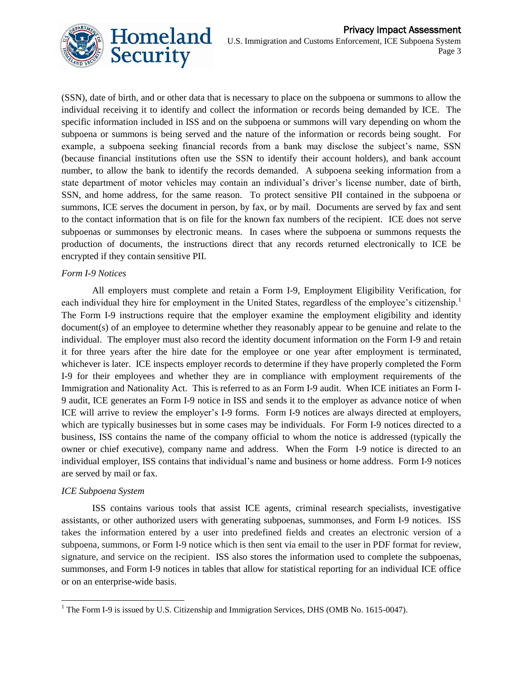

(SSN), date of birth, and or other data that is necessary to place on the subpoena or summons to allow the individual receiving it to identify and collect the information or records being demanded by ICE. The specific information included in ISS and on the subpoena or summons will vary depending on whom the subpoena or summons is being served and the nature of the information or records being sought. For example, a subpoena seeking financial records from a bank may disclose the subject's name, SSN (because financial institutions often use the SSN to identify their account holders), and bank account number, to allow the bank to identify the records demanded. A subpoena seeking information from a state department of motor vehicles may contain an individual's driver's license number, date of birth, SSN, and home address, for the same reason. To protect sensitive PII contained in the subpoena or summons, ICE serves the document in person, by fax, or by mail. Documents are served by fax and sent to the contact information that is on file for the known fax numbers of the recipient. ICE does not serve subpoenas or summonses by electronic means. In cases where the subpoena or summons requests the production of documents, the instructions direct that any records returned electronically to ICE be encrypted if they contain sensitive PII.

#### *Form I-9 Notices*

All employers must complete and retain a Form I-9, Employment Eligibility Verification, for each individual they hire for employment in the United States, regardless of the employee's citizenship.<sup>1</sup> The Form I-9 instructions require that the employer examine the employment eligibility and identity document(s) of an employee to determine whether they reasonably appear to be genuine and relate to the individual. The employer must also record the identity document information on the Form I-9 and retain it for three years after the hire date for the employee or one year after employment is terminated, whichever is later. ICE inspects employer records to determine if they have properly completed the Form I-9 for their employees and whether they are in compliance with employment requirements of the Immigration and Nationality Act. This is referred to as an Form I-9 audit. When ICE initiates an Form I-9 audit, ICE generates an Form I-9 notice in ISS and sends it to the employer as advance notice of when ICE will arrive to review the employer's I-9 forms. Form I-9 notices are always directed at employers, which are typically businesses but in some cases may be individuals. For Form I-9 notices directed to a business, ISS contains the name of the company official to whom the notice is addressed (typically the owner or chief executive), company name and address. When the Form I-9 notice is directed to an individual employer, ISS contains that individual's name and business or home address. Form I-9 notices are served by mail or fax.

#### *ICE Subpoena System*

l

ISS contains various tools that assist ICE agents, criminal research specialists, investigative assistants, or other authorized users with generating subpoenas, summonses, and Form I-9 notices. ISS takes the information entered by a user into predefined fields and creates an electronic version of a subpoena, summons, or Form I-9 notice which is then sent via email to the user in PDF format for review, signature, and service on the recipient. ISS also stores the information used to complete the subpoenas, summonses, and Form I-9 notices in tables that allow for statistical reporting for an individual ICE office or on an enterprise-wide basis.

 $1$  The Form I-9 is issued by U.S. Citizenship and Immigration Services, DHS (OMB No. 1615-0047).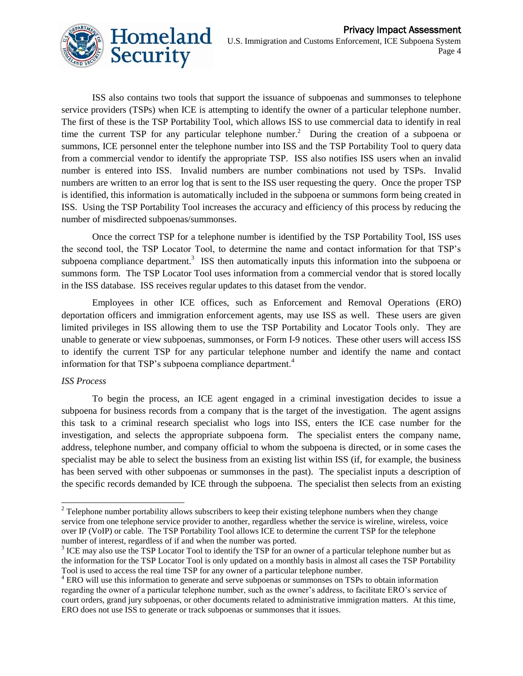

ISS also contains two tools that support the issuance of subpoenas and summonses to telephone service providers (TSPs) when ICE is attempting to identify the owner of a particular telephone number. The first of these is the TSP Portability Tool, which allows ISS to use commercial data to identify in real time the current TSP for any particular telephone number.<sup>2</sup> During the creation of a subpoena or summons, ICE personnel enter the telephone number into ISS and the TSP Portability Tool to query data from a commercial vendor to identify the appropriate TSP. ISS also notifies ISS users when an invalid number is entered into ISS. Invalid numbers are number combinations not used by TSPs. Invalid numbers are written to an error log that is sent to the ISS user requesting the query. Once the proper TSP is identified, this information is automatically included in the subpoena or summons form being created in ISS. Using the TSP Portability Tool increases the accuracy and efficiency of this process by reducing the number of misdirected subpoenas/summonses.

Once the correct TSP for a telephone number is identified by the TSP Portability Tool, ISS uses the second tool, the TSP Locator Tool, to determine the name and contact information for that TSP's subpoena compliance department.<sup>3</sup> ISS then automatically inputs this information into the subpoena or summons form. The TSP Locator Tool uses information from a commercial vendor that is stored locally in the ISS database. ISS receives regular updates to this dataset from the vendor.

Employees in other ICE offices, such as Enforcement and Removal Operations (ERO) deportation officers and immigration enforcement agents, may use ISS as well. These users are given limited privileges in ISS allowing them to use the TSP Portability and Locator Tools only. They are unable to generate or view subpoenas, summonses, or Form I-9 notices. These other users will access ISS to identify the current TSP for any particular telephone number and identify the name and contact information for that TSP's subpoena compliance department.<sup>4</sup>

#### *ISS Process*

 $\overline{a}$ 

To begin the process, an ICE agent engaged in a criminal investigation decides to issue a subpoena for business records from a company that is the target of the investigation. The agent assigns this task to a criminal research specialist who logs into ISS, enters the ICE case number for the investigation, and selects the appropriate subpoena form. The specialist enters the company name, address, telephone number, and company official to whom the subpoena is directed, or in some cases the specialist may be able to select the business from an existing list within ISS (if, for example, the business has been served with other subpoenas or summonses in the past). The specialist inputs a description of the specific records demanded by ICE through the subpoena. The specialist then selects from an existing

 $2^{2}$  Telephone number portability allows subscribers to keep their existing telephone numbers when they change service from one telephone service provider to another, regardless whether the service is wireline, wireless, voice over IP (VoIP) or cable. The TSP Portability Tool allows ICE to determine the current TSP for the telephone number of interest, regardless of if and when the number was ported.

 $3$  ICE may also use the TSP Locator Tool to identify the TSP for an owner of a particular telephone number but as the information for the TSP Locator Tool is only updated on a monthly basis in almost all cases the TSP Portability Tool is used to access the real time TSP for any owner of a particular telephone number.

<sup>&</sup>lt;sup>4</sup> ERO will use this information to generate and serve subpoenas or summonses on TSPs to obtain information regarding the owner of a particular telephone number, such as the owner's address, to facilitate ERO's service of court orders, grand jury subpoenas, or other documents related to administrative immigration matters. At this time, ERO does not use ISS to generate or track subpoenas or summonses that it issues.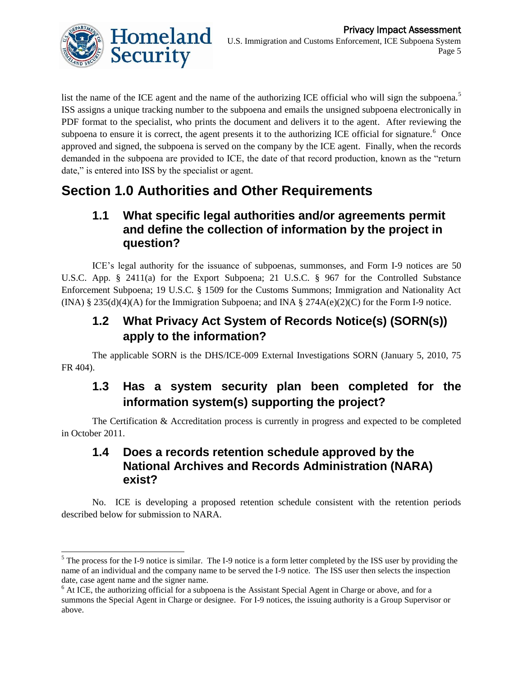

list the name of the ICE agent and the name of the authorizing ICE official who will sign the subpoena.<sup>5</sup> ISS assigns a unique tracking number to the subpoena and emails the unsigned subpoena electronically in PDF format to the specialist, who prints the document and delivers it to the agent. After reviewing the subpoena to ensure it is correct, the agent presents it to the authorizing ICE official for signature.<sup>6</sup> Once approved and signed, the subpoena is served on the company by the ICE agent. Finally, when the records demanded in the subpoena are provided to ICE, the date of that record production, known as the "return date," is entered into ISS by the specialist or agent.

# **Section 1.0 Authorities and Other Requirements**

# **1.1 What specific legal authorities and/or agreements permit and define the collection of information by the project in question?**

ICE's legal authority for the issuance of subpoenas, summonses, and Form I-9 notices are 50 U.S.C. App. § 2411(a) for the Export Subpoena; 21 U.S.C. § 967 for the Controlled Substance Enforcement Subpoena; 19 U.S.C. § 1509 for the Customs Summons; Immigration and Nationality Act  $(INA)$  § 235(d)(4)(A) for the Immigration Subpoena; and INA § 274A(e)(2)(C) for the Form I-9 notice.

# **1.2 What Privacy Act System of Records Notice(s) (SORN(s)) apply to the information?**

The applicable SORN is the DHS/ICE-009 External Investigations SORN (January 5, 2010, 75 FR 404).

# **1.3 Has a system security plan been completed for the information system(s) supporting the project?**

The Certification & Accreditation process is currently in progress and expected to be completed in October 2011.

### **1.4 Does a records retention schedule approved by the National Archives and Records Administration (NARA) exist?**

No. ICE is developing a proposed retention schedule consistent with the retention periods described below for submission to NARA.

 $\overline{a}$  $<sup>5</sup>$  The process for the I-9 notice is similar. The I-9 notice is a form letter completed by the ISS user by providing the</sup> name of an individual and the company name to be served the I-9 notice. The ISS user then selects the inspection date, case agent name and the signer name.

<sup>&</sup>lt;sup>6</sup> At ICE, the authorizing official for a subpoena is the Assistant Special Agent in Charge or above, and for a summons the Special Agent in Charge or designee. For I-9 notices, the issuing authority is a Group Supervisor or above.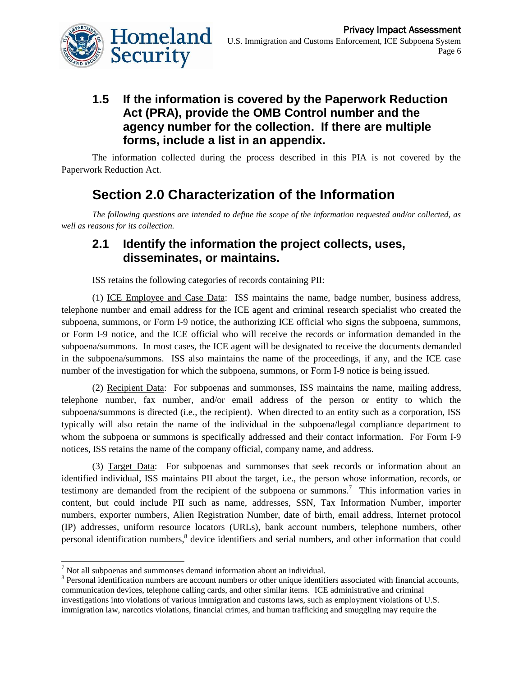

# **1.5 If the information is covered by the Paperwork Reduction Act (PRA), provide the OMB Control number and the agency number for the collection. If there are multiple forms, include a list in an appendix.**

The information collected during the process described in this PIA is not covered by the Paperwork Reduction Act.

# **Section 2.0 Characterization of the Information**

*The following questions are intended to define the scope of the information requested and/or collected, as well as reasons for its collection.* 

#### **2.1 Identify the information the project collects, uses, disseminates, or maintains.**

ISS retains the following categories of records containing PII:

(1) ICE Employee and Case Data: ISS maintains the name, badge number, business address, telephone number and email address for the ICE agent and criminal research specialist who created the subpoena, summons, or Form I-9 notice, the authorizing ICE official who signs the subpoena, summons, or Form I-9 notice, and the ICE official who will receive the records or information demanded in the subpoena/summons. In most cases, the ICE agent will be designated to receive the documents demanded in the subpoena/summons. ISS also maintains the name of the proceedings, if any, and the ICE case number of the investigation for which the subpoena, summons, or Form I-9 notice is being issued.

(2) Recipient Data: For subpoenas and summonses, ISS maintains the name, mailing address, telephone number, fax number, and/or email address of the person or entity to which the subpoena/summons is directed (i.e., the recipient). When directed to an entity such as a corporation, ISS typically will also retain the name of the individual in the subpoena/legal compliance department to whom the subpoena or summons is specifically addressed and their contact information. For Form I-9 notices, ISS retains the name of the company official, company name, and address.

(3) Target Data: For subpoenas and summonses that seek records or information about an identified individual, ISS maintains PII about the target, i.e., the person whose information, records, or testimony are demanded from the recipient of the subpoena or summons.<sup>7</sup> This information varies in content, but could include PII such as name, addresses, SSN, Tax Information Number, importer numbers, exporter numbers, Alien Registration Number, date of birth, email address, Internet protocol (IP) addresses, uniform resource locators (URLs), bank account numbers, telephone numbers, other personal identification numbers, <sup>8</sup> device identifiers and serial numbers, and other information that could

 $\overline{a}$ 

 $<sup>7</sup>$  Not all subpoenas and summonses demand information about an individual.</sup>

<sup>&</sup>lt;sup>8</sup> Personal identification numbers are account numbers or other unique identifiers associated with financial accounts, communication devices, telephone calling cards, and other similar items. ICE administrative and criminal investigations into violations of various immigration and customs laws, such as employment violations of U.S. immigration law, narcotics violations, financial crimes, and human trafficking and smuggling may require the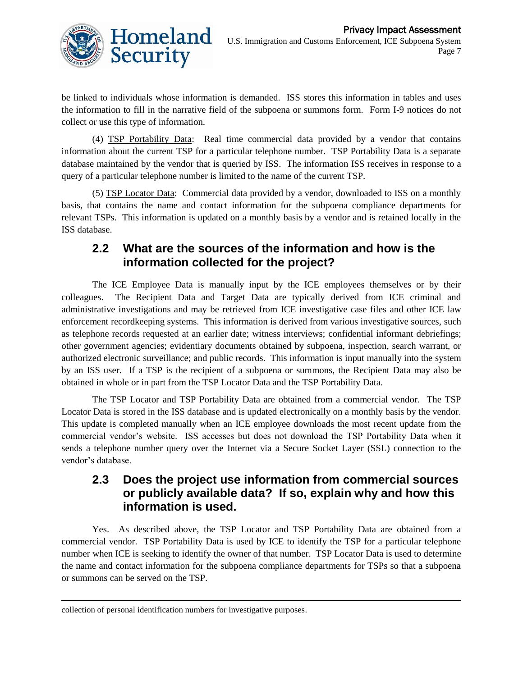

be linked to individuals whose information is demanded. ISS stores this information in tables and uses the information to fill in the narrative field of the subpoena or summons form. Form I-9 notices do not collect or use this type of information.

(4) TSP Portability Data: Real time commercial data provided by a vendor that contains information about the current TSP for a particular telephone number. TSP Portability Data is a separate database maintained by the vendor that is queried by ISS. The information ISS receives in response to a query of a particular telephone number is limited to the name of the current TSP.

(5) TSP Locator Data: Commercial data provided by a vendor, downloaded to ISS on a monthly basis, that contains the name and contact information for the subpoena compliance departments for relevant TSPs. This information is updated on a monthly basis by a vendor and is retained locally in the ISS database.

### **2.2 What are the sources of the information and how is the information collected for the project?**

The ICE Employee Data is manually input by the ICE employees themselves or by their colleagues. The Recipient Data and Target Data are typically derived from ICE criminal and administrative investigations and may be retrieved from ICE investigative case files and other ICE law enforcement recordkeeping systems. This information is derived from various investigative sources, such as telephone records requested at an earlier date; witness interviews; confidential informant debriefings; other government agencies; evidentiary documents obtained by subpoena, inspection, search warrant, or authorized electronic surveillance; and public records. This information is input manually into the system by an ISS user. If a TSP is the recipient of a subpoena or summons, the Recipient Data may also be obtained in whole or in part from the TSP Locator Data and the TSP Portability Data.

The TSP Locator and TSP Portability Data are obtained from a commercial vendor. The TSP Locator Data is stored in the ISS database and is updated electronically on a monthly basis by the vendor. This update is completed manually when an ICE employee downloads the most recent update from the commercial vendor's website. ISS accesses but does not download the TSP Portability Data when it sends a telephone number query over the Internet via a Secure Socket Layer (SSL) connection to the vendor's database.

# **2.3 Does the project use information from commercial sources or publicly available data? If so, explain why and how this information is used.**

Yes. As described above, the TSP Locator and TSP Portability Data are obtained from a commercial vendor. TSP Portability Data is used by ICE to identify the TSP for a particular telephone number when ICE is seeking to identify the owner of that number. TSP Locator Data is used to determine the name and contact information for the subpoena compliance departments for TSPs so that a subpoena or summons can be served on the TSP.

l

collection of personal identification numbers for investigative purposes.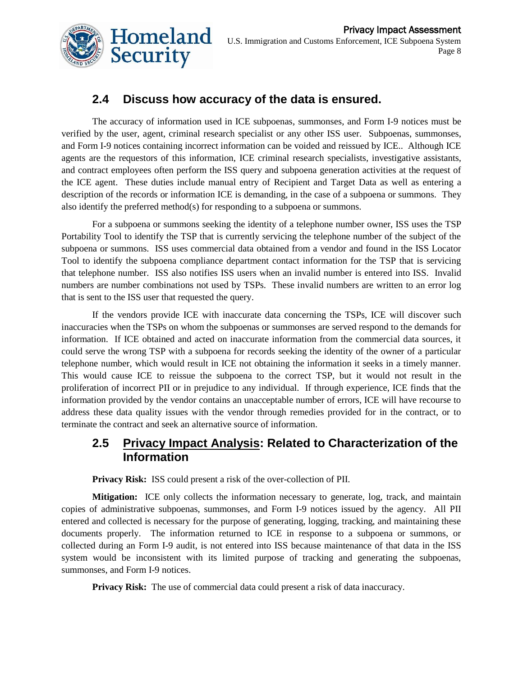

# **2.4 Discuss how accuracy of the data is ensured.**

The accuracy of information used in ICE subpoenas, summonses, and Form I-9 notices must be verified by the user, agent, criminal research specialist or any other ISS user. Subpoenas, summonses, and Form I-9 notices containing incorrect information can be voided and reissued by ICE.. Although ICE agents are the requestors of this information, ICE criminal research specialists, investigative assistants, and contract employees often perform the ISS query and subpoena generation activities at the request of the ICE agent. These duties include manual entry of Recipient and Target Data as well as entering a description of the records or information ICE is demanding, in the case of a subpoena or summons. They also identify the preferred method(s) for responding to a subpoena or summons.

For a subpoena or summons seeking the identity of a telephone number owner, ISS uses the TSP Portability Tool to identify the TSP that is currently servicing the telephone number of the subject of the subpoena or summons. ISS uses commercial data obtained from a vendor and found in the ISS Locator Tool to identify the subpoena compliance department contact information for the TSP that is servicing that telephone number. ISS also notifies ISS users when an invalid number is entered into ISS. Invalid numbers are number combinations not used by TSPs. These invalid numbers are written to an error log that is sent to the ISS user that requested the query.

If the vendors provide ICE with inaccurate data concerning the TSPs, ICE will discover such inaccuracies when the TSPs on whom the subpoenas or summonses are served respond to the demands for information. If ICE obtained and acted on inaccurate information from the commercial data sources, it could serve the wrong TSP with a subpoena for records seeking the identity of the owner of a particular telephone number, which would result in ICE not obtaining the information it seeks in a timely manner. This would cause ICE to reissue the subpoena to the correct TSP, but it would not result in the proliferation of incorrect PII or in prejudice to any individual. If through experience, ICE finds that the information provided by the vendor contains an unacceptable number of errors, ICE will have recourse to address these data quality issues with the vendor through remedies provided for in the contract, or to terminate the contract and seek an alternative source of information.

#### **2.5 Privacy Impact Analysis: Related to Characterization of the Information**

**Privacy Risk:** ISS could present a risk of the over-collection of PII.

**Mitigation:** ICE only collects the information necessary to generate, log, track, and maintain copies of administrative subpoenas, summonses, and Form I-9 notices issued by the agency. All PII entered and collected is necessary for the purpose of generating, logging, tracking, and maintaining these documents properly. The information returned to ICE in response to a subpoena or summons, or collected during an Form I-9 audit, is not entered into ISS because maintenance of that data in the ISS system would be inconsistent with its limited purpose of tracking and generating the subpoenas, summonses, and Form I-9 notices.

**Privacy Risk:** The use of commercial data could present a risk of data inaccuracy.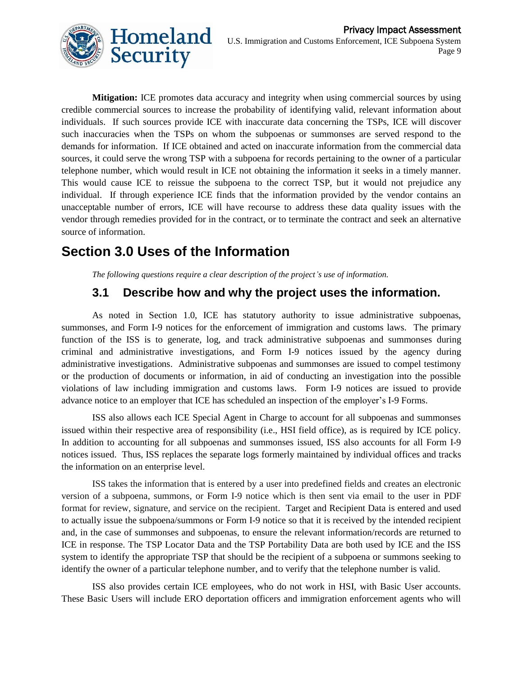

**Mitigation:** ICE promotes data accuracy and integrity when using commercial sources by using credible commercial sources to increase the probability of identifying valid, relevant information about individuals. If such sources provide ICE with inaccurate data concerning the TSPs, ICE will discover such inaccuracies when the TSPs on whom the subpoenas or summonses are served respond to the demands for information. If ICE obtained and acted on inaccurate information from the commercial data sources, it could serve the wrong TSP with a subpoena for records pertaining to the owner of a particular telephone number, which would result in ICE not obtaining the information it seeks in a timely manner. This would cause ICE to reissue the subpoena to the correct TSP, but it would not prejudice any individual. If through experience ICE finds that the information provided by the vendor contains an unacceptable number of errors, ICE will have recourse to address these data quality issues with the vendor through remedies provided for in the contract, or to terminate the contract and seek an alternative source of information.

# **Section 3.0 Uses of the Information**

*The following questions require a clear description of the project's use of information.* 

# **3.1 Describe how and why the project uses the information.**

As noted in Section 1.0, ICE has statutory authority to issue administrative subpoenas, summonses, and Form I-9 notices for the enforcement of immigration and customs laws. The primary function of the ISS is to generate, log, and track administrative subpoenas and summonses during criminal and administrative investigations, and Form I-9 notices issued by the agency during administrative investigations. Administrative subpoenas and summonses are issued to compel testimony or the production of documents or information, in aid of conducting an investigation into the possible violations of law including immigration and customs laws. Form I-9 notices are issued to provide advance notice to an employer that ICE has scheduled an inspection of the employer's I-9 Forms.

ISS also allows each ICE Special Agent in Charge to account for all subpoenas and summonses issued within their respective area of responsibility (i.e., HSI field office), as is required by ICE policy. In addition to accounting for all subpoenas and summonses issued, ISS also accounts for all Form I-9 notices issued. Thus, ISS replaces the separate logs formerly maintained by individual offices and tracks the information on an enterprise level.

ISS takes the information that is entered by a user into predefined fields and creates an electronic version of a subpoena, summons, or Form I-9 notice which is then sent via email to the user in PDF format for review, signature, and service on the recipient. Target and Recipient Data is entered and used to actually issue the subpoena/summons or Form I-9 notice so that it is received by the intended recipient and, in the case of summonses and subpoenas, to ensure the relevant information/records are returned to ICE in response. The TSP Locator Data and the TSP Portability Data are both used by ICE and the ISS system to identify the appropriate TSP that should be the recipient of a subpoena or summons seeking to identify the owner of a particular telephone number, and to verify that the telephone number is valid.

ISS also provides certain ICE employees, who do not work in HSI, with Basic User accounts. These Basic Users will include ERO deportation officers and immigration enforcement agents who will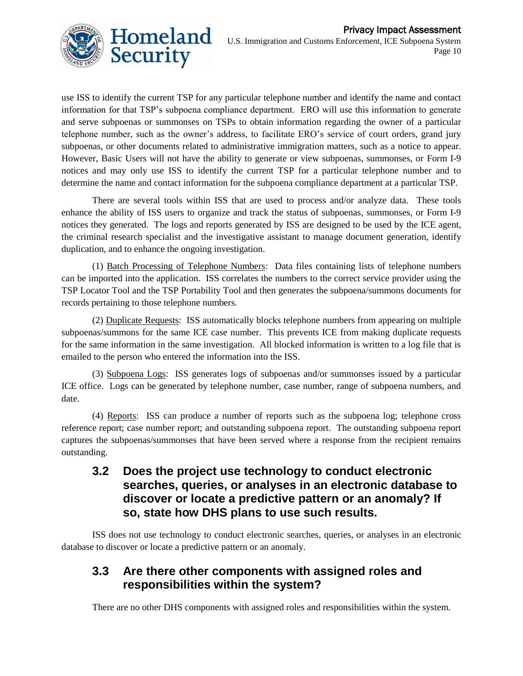

use ISS to identify the current TSP for any particular telephone number and identify the name and contact information for that TSP's subpoena compliance department. ERO will use this information to generate and serve subpoenas or summonses on TSPs to obtain information regarding the owner of a particular telephone number, such as the owner's address, to facilitate ERO's service of court orders, grand jury subpoenas, or other documents related to administrative immigration matters, such as a notice to appear. However, Basic Users will not have the ability to generate or view subpoenas, summonses, or Form I-9 notices and may only use ISS to identify the current TSP for a particular telephone number and to determine the name and contact information for the subpoena compliance department at a particular TSP.

There are several tools within ISS that are used to process and/or analyze data. These tools enhance the ability of ISS users to organize and track the status of subpoenas, summonses, or Form I-9 notices they generated. The logs and reports generated by ISS are designed to be used by the ICE agent, the criminal research specialist and the investigative assistant to manage document generation, identify duplication, and to enhance the ongoing investigation.

(1) Batch Processing of Telephone Numbers: Data files containing lists of telephone numbers can be imported into the application. ISS correlates the numbers to the correct service provider using the TSP Locator Tool and the TSP Portability Tool and then generates the subpoena/summons documents for records pertaining to those telephone numbers.

(2) Duplicate Requests: ISS automatically blocks telephone numbers from appearing on multiple subpoenas/summons for the same ICE case number. This prevents ICE from making duplicate requests for the same information in the same investigation. All blocked information is written to a log file that is emailed to the person who entered the information into the ISS.

(3) Subpoena Logs: ISS generates logs of subpoenas and/or summonses issued by a particular ICE office. Logs can be generated by telephone number, case number, range of subpoena numbers, and date.

(4) Reports: ISS can produce a number of reports such as the subpoena log; telephone cross reference report; case number report; and outstanding subpoena report. The outstanding subpoena report captures the subpoenas/summonses that have been served where a response from the recipient remains outstanding.

**3.2 Does the project use technology to conduct electronic searches, queries, or analyses in an electronic database to discover or locate a predictive pattern or an anomaly? If so, state how DHS plans to use such results.** 

ISS does not use technology to conduct electronic searches, queries, or analyses in an electronic database to discover or locate a predictive pattern or an anomaly.

#### **3.3 Are there other components with assigned roles and responsibilities within the system?**

There are no other DHS components with assigned roles and responsibilities within the system.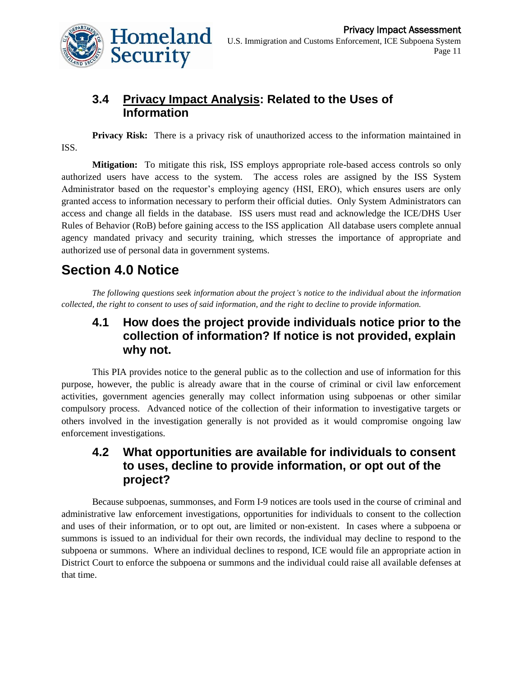

# **3.4 Privacy Impact Analysis: Related to the Uses of Information**

**Privacy Risk:** There is a privacy risk of unauthorized access to the information maintained in ISS.

**Mitigation:** To mitigate this risk, ISS employs appropriate role-based access controls so only authorized users have access to the system. The access roles are assigned by the ISS System Administrator based on the requestor's employing agency (HSI, ERO), which ensures users are only granted access to information necessary to perform their official duties. Only System Administrators can access and change all fields in the database. ISS users must read and acknowledge the ICE/DHS User Rules of Behavior (RoB) before gaining access to the ISS application All database users complete annual agency mandated privacy and security training, which stresses the importance of appropriate and authorized use of personal data in government systems.

# **Section 4.0 Notice**

*The following questions seek information about the project's notice to the individual about the information collected, the right to consent to uses of said information, and the right to decline to provide information.* 

### **4.1 How does the project provide individuals notice prior to the collection of information? If notice is not provided, explain why not.**

This PIA provides notice to the general public as to the collection and use of information for this purpose, however, the public is already aware that in the course of criminal or civil law enforcement activities, government agencies generally may collect information using subpoenas or other similar compulsory process. Advanced notice of the collection of their information to investigative targets or others involved in the investigation generally is not provided as it would compromise ongoing law enforcement investigations.

#### **4.2 What opportunities are available for individuals to consent to uses, decline to provide information, or opt out of the project?**

Because subpoenas, summonses, and Form I-9 notices are tools used in the course of criminal and administrative law enforcement investigations, opportunities for individuals to consent to the collection and uses of their information, or to opt out, are limited or non-existent. In cases where a subpoena or summons is issued to an individual for their own records, the individual may decline to respond to the subpoena or summons. Where an individual declines to respond, ICE would file an appropriate action in District Court to enforce the subpoena or summons and the individual could raise all available defenses at that time.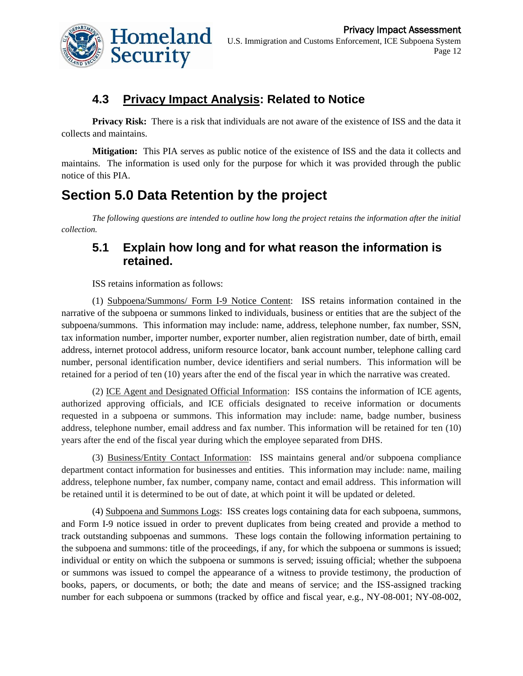

# **4.3 Privacy Impact Analysis: Related to Notice**

**Privacy Risk:** There is a risk that individuals are not aware of the existence of ISS and the data it collects and maintains.

**Mitigation:** This PIA serves as public notice of the existence of ISS and the data it collects and maintains. The information is used only for the purpose for which it was provided through the public notice of this PIA.

# **Section 5.0 Data Retention by the project**

*The following questions are intended to outline how long the project retains the information after the initial collection.*

# **5.1 Explain how long and for what reason the information is retained.**

ISS retains information as follows:

(1) Subpoena/Summons/ Form I-9 Notice Content: ISS retains information contained in the narrative of the subpoena or summons linked to individuals, business or entities that are the subject of the subpoena/summons. This information may include: name, address, telephone number, fax number, SSN, tax information number, importer number, exporter number, alien registration number, date of birth, email address, internet protocol address, uniform resource locator, bank account number, telephone calling card number, personal identification number, device identifiers and serial numbers. This information will be retained for a period of ten (10) years after the end of the fiscal year in which the narrative was created.

(2) ICE Agent and Designated Official Information: ISS contains the information of ICE agents, authorized approving officials, and ICE officials designated to receive information or documents requested in a subpoena or summons. This information may include: name, badge number, business address, telephone number, email address and fax number. This information will be retained for ten (10) years after the end of the fiscal year during which the employee separated from DHS.

(3) Business/Entity Contact Information: ISS maintains general and/or subpoena compliance department contact information for businesses and entities. This information may include: name, mailing address, telephone number, fax number, company name, contact and email address. This information will be retained until it is determined to be out of date, at which point it will be updated or deleted.

(4) Subpoena and Summons Logs: ISS creates logs containing data for each subpoena, summons, and Form I-9 notice issued in order to prevent duplicates from being created and provide a method to track outstanding subpoenas and summons. These logs contain the following information pertaining to the subpoena and summons: title of the proceedings, if any, for which the subpoena or summons is issued; individual or entity on which the subpoena or summons is served; issuing official; whether the subpoena or summons was issued to compel the appearance of a witness to provide testimony, the production of books, papers, or documents, or both; the date and means of service; and the ISS-assigned tracking number for each subpoena or summons (tracked by office and fiscal year, e.g., NY-08-001; NY-08-002,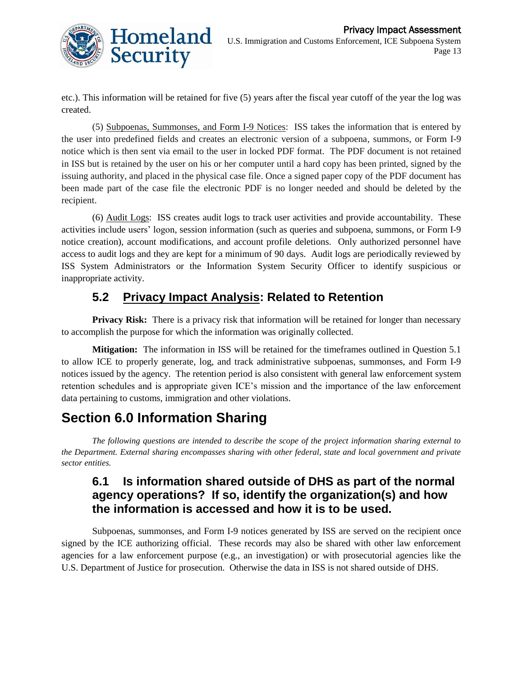

etc.). This information will be retained for five (5) years after the fiscal year cutoff of the year the log was created.

(5) Subpoenas, Summonses, and Form I-9 Notices: ISS takes the information that is entered by the user into predefined fields and creates an electronic version of a subpoena, summons, or Form I-9 notice which is then sent via email to the user in locked PDF format. The PDF document is not retained in ISS but is retained by the user on his or her computer until a hard copy has been printed, signed by the issuing authority, and placed in the physical case file. Once a signed paper copy of the PDF document has been made part of the case file the electronic PDF is no longer needed and should be deleted by the recipient.

(6) Audit Logs: ISS creates audit logs to track user activities and provide accountability. These activities include users' logon, session information (such as queries and subpoena, summons, or Form I-9 notice creation), account modifications, and account profile deletions. Only authorized personnel have access to audit logs and they are kept for a minimum of 90 days. Audit logs are periodically reviewed by ISS System Administrators or the Information System Security Officer to identify suspicious or inappropriate activity.

# **5.2 Privacy Impact Analysis: Related to Retention**

**Privacy Risk:** There is a privacy risk that information will be retained for longer than necessary to accomplish the purpose for which the information was originally collected.

**Mitigation:** The information in ISS will be retained for the timeframes outlined in Question 5.1 to allow ICE to properly generate, log, and track administrative subpoenas, summonses, and Form I-9 notices issued by the agency. The retention period is also consistent with general law enforcement system retention schedules and is appropriate given ICE's mission and the importance of the law enforcement data pertaining to customs, immigration and other violations.

# **Section 6.0 Information Sharing**

*The following questions are intended to describe the scope of the project information sharing external to the Department. External sharing encompasses sharing with other federal, state and local government and private sector entities.*

# **6.1 Is information shared outside of DHS as part of the normal agency operations? If so, identify the organization(s) and how the information is accessed and how it is to be used.**

Subpoenas, summonses, and Form I-9 notices generated by ISS are served on the recipient once signed by the ICE authorizing official. These records may also be shared with other law enforcement agencies for a law enforcement purpose (e.g., an investigation) or with prosecutorial agencies like the U.S. Department of Justice for prosecution. Otherwise the data in ISS is not shared outside of DHS.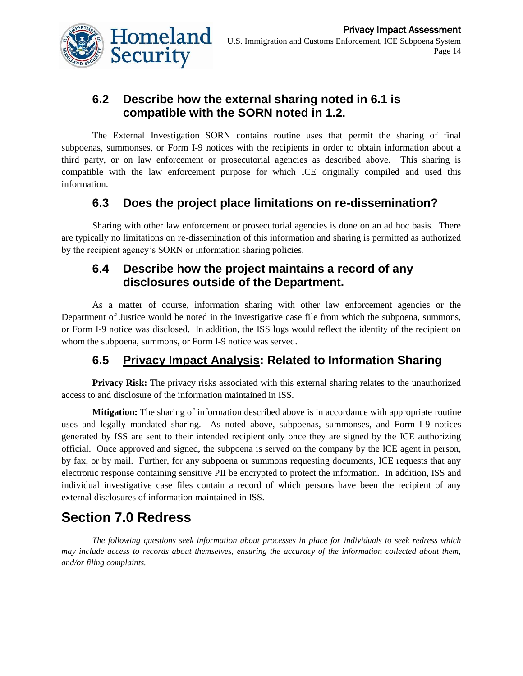

# **6.2 Describe how the external sharing noted in 6.1 is compatible with the SORN noted in 1.2.**

The External Investigation SORN contains routine uses that permit the sharing of final subpoenas, summonses, or Form I-9 notices with the recipients in order to obtain information about a third party, or on law enforcement or prosecutorial agencies as described above. This sharing is compatible with the law enforcement purpose for which ICE originally compiled and used this information.

# **6.3 Does the project place limitations on re-dissemination?**

Sharing with other law enforcement or prosecutorial agencies is done on an ad hoc basis. There are typically no limitations on re-dissemination of this information and sharing is permitted as authorized by the recipient agency's SORN or information sharing policies.

### **6.4 Describe how the project maintains a record of any disclosures outside of the Department.**

As a matter of course, information sharing with other law enforcement agencies or the Department of Justice would be noted in the investigative case file from which the subpoena, summons, or Form I-9 notice was disclosed. In addition, the ISS logs would reflect the identity of the recipient on whom the subpoena, summons, or Form I-9 notice was served.

# **6.5 Privacy Impact Analysis: Related to Information Sharing**

**Privacy Risk:** The privacy risks associated with this external sharing relates to the unauthorized access to and disclosure of the information maintained in ISS.

**Mitigation:** The sharing of information described above is in accordance with appropriate routine uses and legally mandated sharing. As noted above, subpoenas, summonses, and Form I-9 notices generated by ISS are sent to their intended recipient only once they are signed by the ICE authorizing official. Once approved and signed, the subpoena is served on the company by the ICE agent in person, by fax, or by mail. Further, for any subpoena or summons requesting documents, ICE requests that any electronic response containing sensitive PII be encrypted to protect the information. In addition, ISS and individual investigative case files contain a record of which persons have been the recipient of any external disclosures of information maintained in ISS.

# **Section 7.0 Redress**

*The following questions seek information about processes in place for individuals to seek redress which may include access to records about themselves, ensuring the accuracy of the information collected about them, and/or filing complaints.*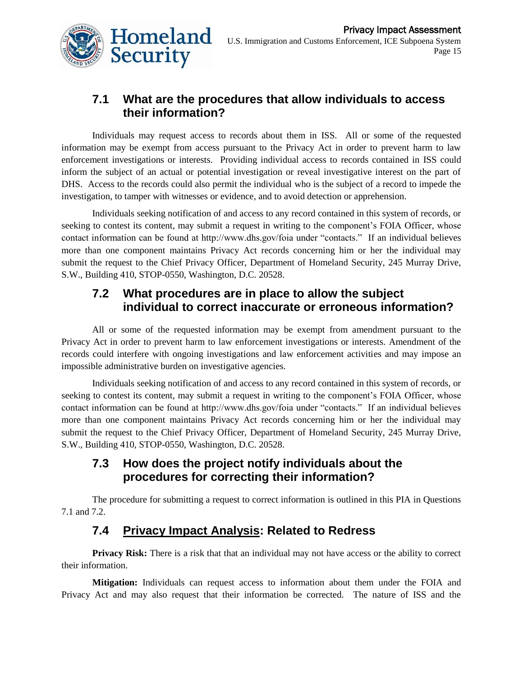

# **7.1 What are the procedures that allow individuals to access their information?**

Individuals may request access to records about them in ISS. All or some of the requested information may be exempt from access pursuant to the Privacy Act in order to prevent harm to law enforcement investigations or interests. Providing individual access to records contained in ISS could inform the subject of an actual or potential investigation or reveal investigative interest on the part of DHS. Access to the records could also permit the individual who is the subject of a record to impede the investigation, to tamper with witnesses or evidence, and to avoid detection or apprehension.

Individuals seeking notification of and access to any record contained in this system of records, or seeking to contest its content, may submit a request in writing to the component's FOIA Officer, whose contact information can be found at http://www.dhs.gov/foia under "contacts." If an individual believes more than one component maintains Privacy Act records concerning him or her the individual may submit the request to the Chief Privacy Officer, Department of Homeland Security, 245 Murray Drive, S.W., Building 410, STOP-0550, Washington, D.C. 20528.

#### **7.2 What procedures are in place to allow the subject individual to correct inaccurate or erroneous information?**

All or some of the requested information may be exempt from amendment pursuant to the Privacy Act in order to prevent harm to law enforcement investigations or interests. Amendment of the records could interfere with ongoing investigations and law enforcement activities and may impose an impossible administrative burden on investigative agencies.

Individuals seeking notification of and access to any record contained in this system of records, or seeking to contest its content, may submit a request in writing to the component's FOIA Officer, whose contact information can be found at http://www.dhs.gov/foia under "contacts." If an individual believes more than one component maintains Privacy Act records concerning him or her the individual may submit the request to the Chief Privacy Officer, Department of Homeland Security, 245 Murray Drive, S.W., Building 410, STOP-0550, Washington, D.C. 20528.

# **7.3 How does the project notify individuals about the procedures for correcting their information?**

The procedure for submitting a request to correct information is outlined in this PIA in Questions 7.1 and 7.2.

# **7.4 Privacy Impact Analysis: Related to Redress**

**Privacy Risk:** There is a risk that that an individual may not have access or the ability to correct their information.

**Mitigation:** Individuals can request access to information about them under the FOIA and Privacy Act and may also request that their information be corrected. The nature of ISS and the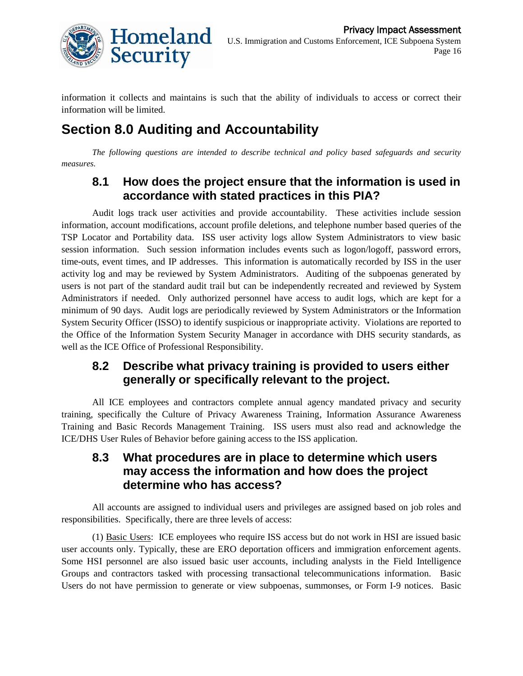

information it collects and maintains is such that the ability of individuals to access or correct their information will be limited.

# **Section 8.0 Auditing and Accountability**

*The following questions are intended to describe technical and policy based safeguards and security measures.*

#### **8.1 How does the project ensure that the information is used in accordance with stated practices in this PIA?**

Audit logs track user activities and provide accountability. These activities include session information, account modifications, account profile deletions, and telephone number based queries of the TSP Locator and Portability data. ISS user activity logs allow System Administrators to view basic session information. Such session information includes events such as logon/logoff, password errors, time-outs, event times, and IP addresses. This information is automatically recorded by ISS in the user activity log and may be reviewed by System Administrators. Auditing of the subpoenas generated by users is not part of the standard audit trail but can be independently recreated and reviewed by System Administrators if needed. Only authorized personnel have access to audit logs, which are kept for a minimum of 90 days. Audit logs are periodically reviewed by System Administrators or the Information System Security Officer (ISSO) to identify suspicious or inappropriate activity. Violations are reported to the Office of the Information System Security Manager in accordance with DHS security standards, as well as the ICE Office of Professional Responsibility.

### **8.2 Describe what privacy training is provided to users either generally or specifically relevant to the project.**

All ICE employees and contractors complete annual agency mandated privacy and security training, specifically the Culture of Privacy Awareness Training, Information Assurance Awareness Training and Basic Records Management Training. ISS users must also read and acknowledge the ICE/DHS User Rules of Behavior before gaining access to the ISS application.

#### **8.3 What procedures are in place to determine which users may access the information and how does the project determine who has access?**

All accounts are assigned to individual users and privileges are assigned based on job roles and responsibilities. Specifically, there are three levels of access:

(1) Basic Users: ICE employees who require ISS access but do not work in HSI are issued basic user accounts only. Typically, these are ERO deportation officers and immigration enforcement agents. Some HSI personnel are also issued basic user accounts, including analysts in the Field Intelligence Groups and contractors tasked with processing transactional telecommunications information. Basic Users do not have permission to generate or view subpoenas, summonses, or Form I-9 notices. Basic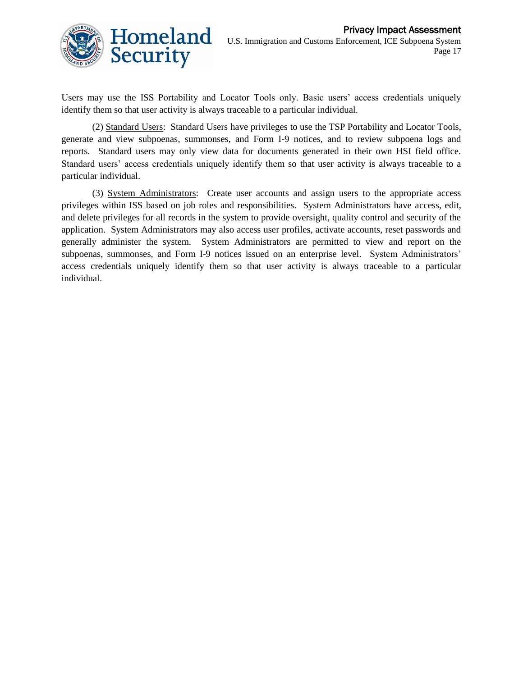

Users may use the ISS Portability and Locator Tools only. Basic users' access credentials uniquely identify them so that user activity is always traceable to a particular individual.

(2) Standard Users: Standard Users have privileges to use the TSP Portability and Locator Tools, generate and view subpoenas, summonses, and Form I-9 notices, and to review subpoena logs and reports. Standard users may only view data for documents generated in their own HSI field office. Standard users' access credentials uniquely identify them so that user activity is always traceable to a particular individual.

(3) System Administrators: Create user accounts and assign users to the appropriate access privileges within ISS based on job roles and responsibilities. System Administrators have access, edit, and delete privileges for all records in the system to provide oversight, quality control and security of the application. System Administrators may also access user profiles, activate accounts, reset passwords and generally administer the system. System Administrators are permitted to view and report on the subpoenas, summonses, and Form I-9 notices issued on an enterprise level. System Administrators' access credentials uniquely identify them so that user activity is always traceable to a particular individual.